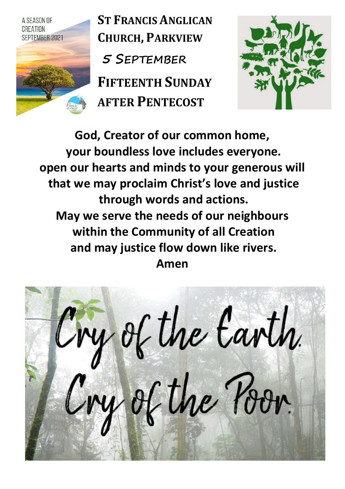

**ST FRANCIS ANGLICAN CHURCH, PARKVIEW 5 SEPTEMBER FIFTEENTH SUNDAY AFTER PENTECOST**



**God, Creator of our common home, your boundless love includes everyone. open our hearts and minds to your generous will that we may proclaim Christ's love and justice through words and actions. May we serve the needs of our neighbours within the Community of all Creation and may justice flow down like rivers. Amen**

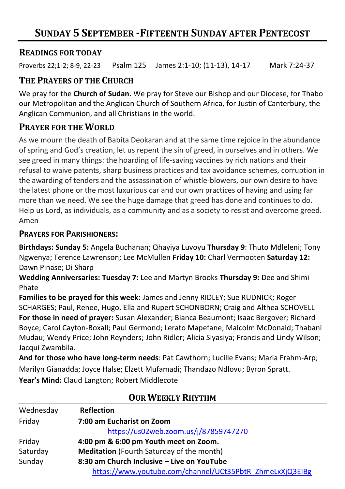#### **READINGS FOR TODAY**

Proverbs 22;1-2; 8-9, 22-23 Psalm 125 James 2:1-10; (11-13), 14-17 Mark 7:24-37

## **THE PRAYERS OF THE CHURCH**

We pray for the **Church of Sudan.** We pray for Steve our Bishop and our Diocese, for Thabo our Metropolitan and the Anglican Church of Southern Africa, for Justin of Canterbury, the Anglican Communion, and all Christians in the world.

# **PRAYER FOR THE WORLD**

As we mourn the death of Babita Deokaran and at the same time rejoice in the abundance of spring and God's creation, let us repent the sin of greed, in ourselves and in others. We see greed in many things: the hoarding of life-saving vaccines by rich nations and their refusal to waive patents, sharp business practices and tax avoidance schemes, corruption in the awarding of tenders and the assassination of whistle-blowers, our own desire to have the latest phone or the most luxurious car and our own practices of having and using far more than we need. We see the huge damage that greed has done and continues to do. Help us Lord, as individuals, as a community and as a society to resist and overcome greed. Amen

#### **PRAYERS FOR PARISHIONERS:**

**Birthdays: Sunday 5:** Angela Buchanan; Qhayiya Luvoyu **Thursday 9**: Thuto Mdleleni; Tony Ngwenya; Terence Lawrenson; Lee McMullen **Friday 10:** Charl Vermooten **Saturday 12:** Dawn Pinase; Di Sharp

**Wedding Anniversaries: Tuesday 7:** Lee and Martyn Brooks **Thursday 9:** Dee and Shimi Phate

**Families to be prayed for this week:** James and Jenny RIDLEY; Sue RUDNICK; Roger SCHARGES; Paul, Renee, Hugo, Ella and Rupert SCHONBORN; Craig and Althea SCHOVELL **For those in need of prayer:** Susan Alexander; Bianca Beaumont; Isaac Bergover; Richard Boyce; Carol Cayton-Boxall; Paul Germond; Lerato Mapefane; Malcolm McDonald; Thabani Mudau; Wendy Price; John Reynders; John Ridler; Alicia Siyasiya; Francis and Lindy Wilson; Jacqui Zwambila.

**And for those who have long-term needs**: Pat Cawthorn; Lucille Evans; Maria Frahm-Arp; Marilyn Gianadda; Joyce Halse; Elzett Mufamadi; Thandazo Ndlovu; Byron Spratt. **Year's Mind:** Claud Langton; Robert Middlecote

| Wednesday | <b>Reflection</b>                                        |  |  |
|-----------|----------------------------------------------------------|--|--|
| Friday    | 7:00 am Eucharist on Zoom                                |  |  |
|           | https://us02web.zoom.us/j/87859747270                    |  |  |
| Friday    | 4:00 pm & 6:00 pm Youth meet on Zoom.                    |  |  |
| Saturday  | <b>Meditation</b> (Fourth Saturday of the month)         |  |  |
| Sunday    | 8:30 am Church Inclusive – Live on YouTube               |  |  |
|           | https://www.youtube.com/channel/UCt35PbtR_ZhmeLxXjQ3EIBg |  |  |

# **OUR WEEKLY RHYTHM**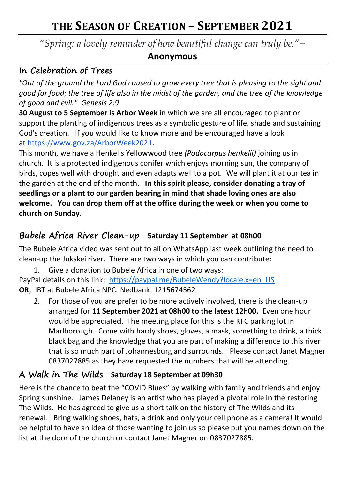# **THE SEASON OF CREATION – SEPTEMBER 2021**

*"Spring: a lovely reminder of how beautiful change can truly be."–*

#### **Anonymous**

#### **In Celebration of Trees**

*"Out of the ground the Lord God caused to grow every tree that is pleasing to the sight and good for food; the tree of life also in the midst of the garden, and the tree of the knowledge of good and evil." Genesis 2:9*

**30 August to 5 September is Arbor Week** in which we are all encouraged to plant or support the planting of indigenous trees as a symbolic gesture of life, shade and sustaining God's creation. If you would like to know more and be encouraged have a look at [https://www.gov.za/ArborWeek2021.](https://www.gov.za/ArborWeek2021)

This month, we have a Henkel's Yellowwood tree *(Podocarpus henkelii)* joining us in church. It is a protected indigenous conifer which enjoys morning sun, the company of birds, copes well with drought and even adapts well to a pot. We will plant it at our tea in the garden at the end of the month. **In this spirit please, consider donating a tray of seedlings or a plant to our garden bearing in mind that shade loving ones are also welcome. You can drop them off at the office during the week or when you come to church on Sunday.**

# **Bubele Africa River Clean-up** – **Saturday 11 September at 08h00**

The Bubele Africa video was sent out to all on WhatsApp last week outlining the need to clean-up the Jukskei river. There are two ways in which you can contribute:

1. Give a donation to Bubele Africa in one of two ways: PayPal details on this link: [https://paypal.me/BubeleWendy?locale.x=en\\_US](https://paypal.me/BubeleWendy?locale.x=en_US&fbclid=IwAR3-4daacawtiB2KYF5r2zQJwbPJYmXPhme0eEOpbNIs_S0ptjk-8rTLQOs) **OR**, IBT at Bubele Africa NPC. Nedbank. 1215674562

2. For those of you are prefer to be more actively involved, there is the clean-up arranged for **11 September 2021 at 08h00 to the latest 12h00.** Even one hour would be appreciated. The meeting place for this is the KFC parking lot in Marlborough. Come with hardy shoes, gloves, a mask, something to drink, a thick black bag and the knowledge that you are part of making a difference to this river that is so much part of Johannesburg and surrounds. Please contact Janet Magner 0837027885 as they have requested the numbers that will be attending.

#### **A Walk in The Wilds** – **Saturday 18 September at 09h30**

Here is the chance to beat the "COVID Blues" by walking with family and friends and enjoy Spring sunshine. James Delaney is an artist who has played a pivotal role in the restoring The Wilds. He has agreed to give us a short talk on the history of The Wilds and its renewal. Bring walking shoes, hats, a drink and only your cell phone as a camera! It would be helpful to have an idea of those wanting to join us so please put you names down on the list at the door of the church or contact Janet Magner on 0837027885.